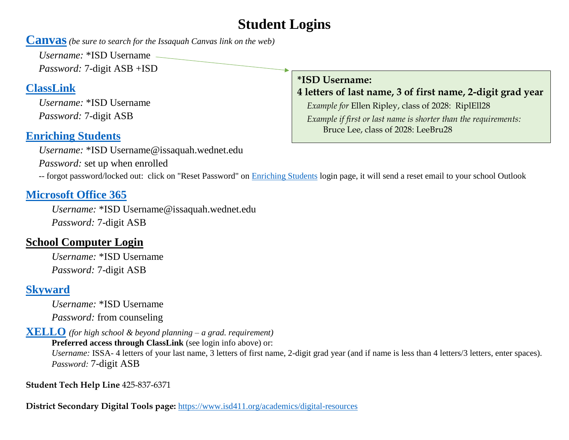# **Student Logins**

**[Canvas](https://issaquah.instructure.com/login/canvas)***(be sure to search for the Issaquah Canvas link on the web)* 

*Username:* \*ISD Username *Password:* 7-digit ASB +ISD

## **[ClassLink](https://launchpad.classlink.com/issaquah)**

*Username:* \*ISD Username *Password:* 7-digit ASB

### **[Enriching Students](https://app.enrichingstudents.com/)**

*Username:* \*ISD Username@issaquah.wednet.edu

*Password:* set up when enrolled

**\*ISD Username:** 

**4 letters of last name, 3 of first name, 2-digit grad year**

*Example for* Ellen Ripley, class of 2028: RiplEll28 *Example if first or last name is shorter than the requirements:* Bruce Lee, class of 2028: LeeBru28

-- forgot password/locked out: click on "Reset Password" on **Enriching Students** login page, it will send a reset email to your school Outlook

#### **[Microsoft Office 365](https://www.office.com/)**

*Username:* \*ISD Username@issaquah.wednet.edu *Password:* 7-digit ASB

### **School Computer Login**

*Username:* \*ISD Username *Password:* 7-digit ASB

## **[Skyward](https://www01.nwrdc.wa-k12.net/scripts/cgiip.exe/WService=wissaqus71/fwemnu01.w)**

*Username:* \*ISD Username *Password:* from counseling

**[XELLO](https://login.xello.world/)** *(for high school & beyond planning – a grad. requirement)*

**Preferred access through ClassLink** (see login info above) or:

*Username:* ISSA- 4 letters of your last name, 3 letters of first name, 2-digit grad year (and if name is less than 4 letters/3 letters, enter spaces). *Password:* 7-digit ASB

**Student Tech Help Line** 425-837-6371

**District Secondary Digital Tools page:** <https://www.isd411.org/academics/digital-resources>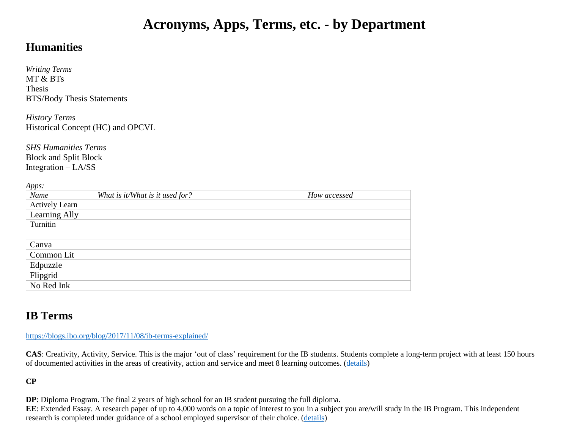## **Acronyms, Apps, Terms, etc. - by Department**

#### **Humanities**

*Writing Terms* MT & BTs Thesis BTS/Body Thesis Statements

*History Terms* Historical Concept (HC) and OPCVL

*SHS Humanities Terms* Block and Split Block Integration – LA/SS

*Apps:*

| $\mathbf{1}$<br>Name  | What is it/What is it used for? | How accessed |
|-----------------------|---------------------------------|--------------|
| <b>Actively Learn</b> |                                 |              |
| Learning Ally         |                                 |              |
| Turnitin              |                                 |              |
|                       |                                 |              |
| Canva                 |                                 |              |
| Common Lit            |                                 |              |
| Edpuzzle              |                                 |              |
| Flipgrid              |                                 |              |
| No Red Ink            |                                 |              |

#### **IB Terms**

<https://blogs.ibo.org/blog/2017/11/08/ib-terms-explained/>

**CAS**: Creativity, Activity, Service. This is the major 'out of class' requirement for the IB students. Students complete a long-term project with at least 150 hours of documented activities in the areas of creativity, action and service and meet 8 learning outcomes. [\(details\)](https://www.ibo.org/programmes/diploma-programme/curriculum/creativity-activity-and-service/)

**CP**

**DP**: Diploma Program. The final 2 years of high school for an IB student pursuing the full diploma.

**EE**: Extended Essay. A research paper of up to 4,000 words on a topic of interest to you in a subject you are/will study in the IB Program. This independent research is completed under guidance of a school employed supervisor of their choice. [\(details\)](https://www.ibo.org/programmes/diploma-programme/curriculum/extended-essay/what-is-the-extended-essay/)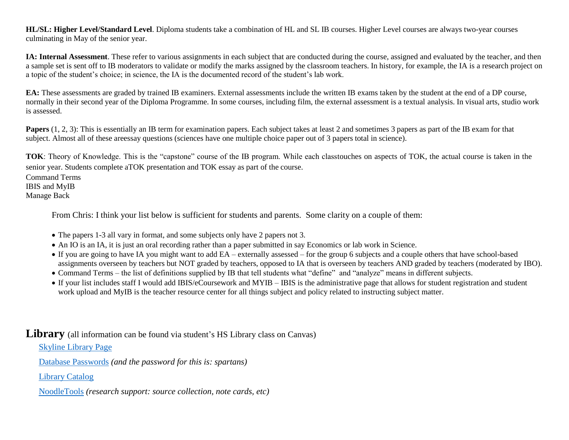**HL/SL: Higher Level/Standard Level**. Diploma students take a combination of HL and SL IB courses. Higher Level courses are always two-year courses culminating in May of the senior year.

**IA: Internal Assessment**. These refer to various assignments in each subject that are conducted during the course, assigned and evaluated by the teacher, and then a sample set is sent off to IB moderators to validate or modify the marks assigned by the classroom teachers. In history, for example, the IA is a research project on a topic of the student's choice; in science, the IA is the documented record of the student's lab work.

**EA:** These assessments are graded by trained IB examiners. External assessments include the written IB exams taken by the student at the end of a DP course, normally in their second year of the Diploma Programme. In some courses, including film, the external assessment is a textual analysis. In visual arts, studio work is assessed.

**Papers** (1, 2, 3): This is essentially an IB term for examination papers. Each subject takes at least 2 and sometimes 3 papers as part of the IB exam for that subject. Almost all of these areessay questions (sciences have one multiple choice paper out of 3 papers total in science).

**TOK**: Theory of Knowledge. This is the "capstone" course of the IB program. While each classtouches on aspects of TOK, the actual course is taken in the senior year. Students complete aTOK presentation and TOK essay as part of the course.

Command Terms IBIS and MyIB Manage Back

From Chris: I think your list below is sufficient for students and parents. Some clarity on a couple of them:

- The papers 1-3 all vary in format, and some subjects only have 2 papers not 3.
- An IO is an IA, it is just an oral recording rather than a paper submitted in say Economics or lab work in Science.
- If you are going to have IA you might want to add EA externally assessed for the group 6 subjects and a couple others that have school-based assignments overseen by teachers but NOT graded by teachers, opposed to IA that is overseen by teachers AND graded by teachers (moderated by IBO).
- Command Terms the list of definitions supplied by IB that tell students what "define" and "analyze" means in different subjects.
- If your list includes staff I would add IBIS/eCoursework and MYIB IBIS is the administrative page that allows for student registration and student work upload and MyIB is the teacher resource center for all things subject and policy related to instructing subject matter.

Library (all information can be found via student's HS Library class on Canvas)

[Skyline Library Page](http://www.msbacon.com/)

[Database Passwords](http://www.msbacon.com/documents/SkyLineHS_priv.pdf) *(and the password for this is: spartans)*

[Library Catalog](https://library.issaquah.wednet.edu/common/welcome.jsp?site=120)

[NoodleTools](http://www.msbacon.com/documents/NoodleTools_General.pdf) *(research support: source collection, note cards, etc)*